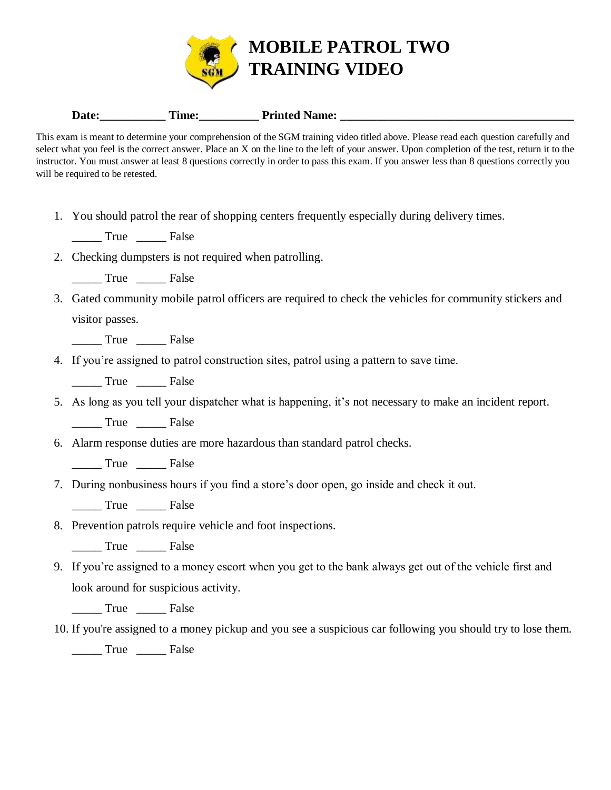

## **Date:\_\_\_\_\_\_\_\_\_\_\_ Time:\_\_\_\_\_\_\_\_\_\_ Printed Name: \_\_\_\_\_\_\_\_\_\_\_\_\_\_\_\_\_\_\_\_\_\_\_\_\_\_\_\_\_\_\_\_\_\_\_\_\_\_\_**

This exam is meant to determine your comprehension of the SGM training video titled above. Please read each question carefully and select what you feel is the correct answer. Place an X on the line to the left of your answer. Upon completion of the test, return it to the instructor. You must answer at least 8 questions correctly in order to pass this exam. If you answer less than 8 questions correctly you will be required to be retested.

1. You should patrol the rear of shopping centers frequently especially during delivery times.

True False

- 2. Checking dumpsters is not required when patrolling.
	- \_\_\_\_\_ True \_\_\_\_\_ False
- 3. Gated community mobile patrol officers are required to check the vehicles for community stickers and visitor passes.

\_\_\_\_\_ True \_\_\_\_\_ False

4. If you're assigned to patrol construction sites, patrol using a pattern to save time.

\_\_\_\_\_ True \_\_\_\_\_ False

5. As long as you tell your dispatcher what is happening, it's not necessary to make an incident report.

\_\_\_\_\_ True \_\_\_\_\_ False

6. Alarm response duties are more hazardous than standard patrol checks.

\_\_\_\_\_ True \_\_\_\_\_ False

7. During nonbusiness hours if you find a store's door open, go inside and check it out.

\_\_\_\_\_ True \_\_\_\_\_ False

- 8. Prevention patrols require vehicle and foot inspections.
	- \_\_\_\_\_ True \_\_\_\_\_ False
- 9. If you're assigned to a money escort when you get to the bank always get out of the vehicle first and look around for suspicious activity.

\_\_\_\_\_ True \_\_\_\_\_ False

10. If you're assigned to a money pickup and you see a suspicious car following you should try to lose them.

\_\_\_\_\_ True \_\_\_\_\_ False